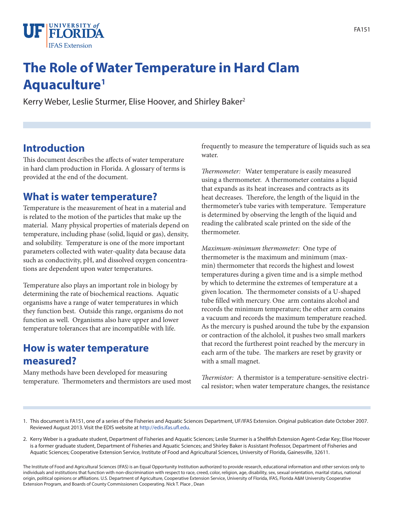

# **The Role of Water Temperature in Hard Clam Aquaculture1**

Kerry Weber, Leslie Sturmer, Elise Hoover, and Shirley Baker<sup>2</sup>

### **Introduction**

This document describes the affects of water temperature in hard clam production in Florida. A glossary of terms is provided at the end of the document.

### **What is water temperature?**

Temperature is the measurement of heat in a material and is related to the motion of the particles that make up the material. Many physical properties of materials depend on temperature, including phase (solid, liquid or gas), density, and solubility. Temperature is one of the more important parameters collected with water-quality data because data such as conductivity, pH, and dissolved oxygen concentrations are dependent upon water temperatures.

Temperature also plays an important role in biology by determining the rate of biochemical reactions. Aquatic organisms have a range of water temperatures in which they function best. Outside this range, organisms do not function as well. Organisms also have upper and lower temperature tolerances that are incompatible with life.

### **How is water temperature measured?**

Many methods have been developed for measuring temperature. Thermometers and thermistors are used most frequently to measure the temperature of liquids such as sea water.

*Thermometer:* Water temperature is easily measured using a thermometer. A thermometer contains a liquid that expands as its heat increases and contracts as its heat decreases. Therefore, the length of the liquid in the thermometer's tube varies with temperature. Temperature is determined by observing the length of the liquid and reading the calibrated scale printed on the side of the thermometer.

*Maximum-minimum thermometer:* One type of thermometer is the maximum and minimum (maxmin) thermometer that records the highest and lowest temperatures during a given time and is a simple method by which to determine the extremes of temperature at a given location. The thermometer consists of a U-shaped tube filled with mercury. One arm contains alcohol and records the minimum temperature; the other arm conains a vacuum and records the maximum temperature reached. As the mercury is pushed around the tube by the expansion or contraction of the alcholol, it pushes two small markers that record the furtherest point reached by the mercury in each arm of the tube. The markers are reset by gravity or with a small magnet.

*Thermistor:* A thermistor is a temperature-sensitive electrical resistor; when water temperature changes, the resistance

2. Kerry Weber is a graduate student, Department of Fisheries and Aquatic Sciences; Leslie Sturmer is a Shellfish Extension Agent-Cedar Key; Elise Hoover is a former graduate student, Department of Fisheries and Aquatic Sciences; and Shirley Baker is Assistant Professor, Department of Fisheries and Aquatic Sciences; Cooperative Extension Service, Institute of Food and Agricultural Sciences, University of Florida, Gainesville, 32611.

The Institute of Food and Agricultural Sciences (IFAS) is an Equal Opportunity Institution authorized to provide research, educational information and other services only to individuals and institutions that function with non-discrimination with respect to race, creed, color, religion, age, disability, sex, sexual orientation, marital status, national origin, political opinions or affiliations. U.S. Department of Agriculture, Cooperative Extension Service, University of Florida, IFAS, Florida A&M University Cooperative Extension Program, and Boards of County Commissioners Cooperating. Nick T. Place , Dean

<sup>1.</sup> This document is FA151, one of a series of the Fisheries and Aquatic Sciences Department, UF/IFAS Extension. Original publication date October 2007. Reviewed August 2013. Visit the EDIS website at http://edis.ifas.ufl.edu.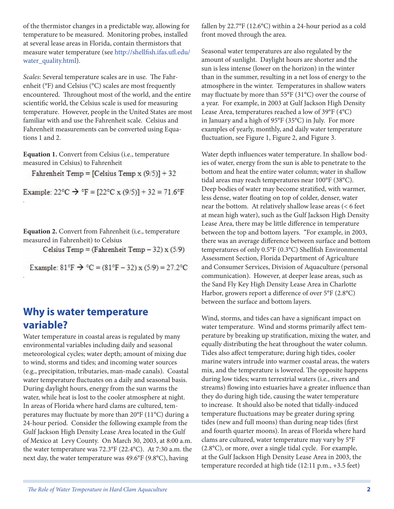of the thermistor changes in a predictable way, allowing for temperature to be measured. Monitoring probes, installed at several lease areas in Florida, contain thermistors that measure water temperature (see http://shellfish.ifas.ufl.edu/ water\_quality.html).

*Scales*: Several temperature scales are in use. The Fahrenheit (°F) and Celsius (°C) scales are most frequently encountered. Throughout most of the world, and the entire scientific world, the Celsius scale is used for measuring temperature. However, people in the United States are most familiar with and use the Fahrenheit scale. Celsius and Fahrenheit measurements can be converted using Equations 1 and 2.

**Equation 1.** Convert from Celsius (i.e., temperature measured in Celsius) to Fahrenheit

.

.

Fahrenheit Temp = [Celsius Temp x  $(9/5)$ ] + 32

Example:  $22^{\circ}C \rightarrow {}^{\circ}F = [22^{\circ}C \times (9/5)] + 32 = 71.6^{\circ}F$ 

**Equation 2.** Convert from Fahrenheit (i.e., temperature measured in Fahrenheit) to Celsius

Celsius Temp = (Fahrenheit Temp  $-32$ ) x (5/9)

Example:  $81^{\circ}$ F  $\rightarrow$   $^{\circ}$ C =  $(81^{\circ}$ F - 32) x  $(5/9) = 27.2^{\circ}$ C

### **Why is water temperature variable?**

Water temperature in coastal areas is regulated by many environmental variables including daily and seasonal meteorological cycles; water depth; amount of mixing due to wind, storms and tides; and incoming water sources (e.g., precipitation, tributaries, man-made canals). Coastal water temperature fluctuates on a daily and seasonal basis. During daylight hours, energy from the sun warms the water, while heat is lost to the cooler atmosphere at night. In areas of Florida where hard clams are cultured, temperatures may fluctuate by more than 20°F (11°C) during a 24-hour period. Consider the following example from the Gulf Jackson High Density Lease Area located in the Gulf of Mexico at Levy County. On March 30, 2003, at 8:00 a.m. the water temperature was 72.3°F (22.4°C). At 7:30 a.m. the next day, the water temperature was 49.6°F (9.8°C), having

fallen by 22.7°F (12.6°C) within a 24-hour period as a cold front moved through the area.

Seasonal water temperatures are also regulated by the amount of sunlight. Daylight hours are shorter and the sun is less intense (lower on the horizon) in the winter than in the summer, resulting in a net loss of energy to the atmosphere in the winter. Temperatures in shallow waters may fluctuate by more than 55°F (31°C) over the course of a year. For example, in 2003 at Gulf Jackson High Density Lease Area, temperatures reached a low of 39°F (4°C) in January and a high of 95°F (35°C) in July. For more examples of yearly, monthly, and daily water temperature fluctuation, see Figure 1, Figure 2, and Figure 3.

Water depth influences water temperature. In shallow bodies of water, energy from the sun is able to penetrate to the bottom and heat the entire water column; water in shallow tidal areas may reach temperatures near 100°F (38°C). Deep bodies of water may become stratified, with warmer, less dense, water floating on top of colder, denser, water near the bottom. At relatively shallow lease areas (< 6 feet at mean high water), such as the Gulf Jackson High Density Lease Area, there may be little difference in temperature between the top and bottom layers. "For example, in 2003, there was an average difference between surface and bottom temperatures of only 0.5°F (0.3°C) Shellfish Environmental Assessment Section, Florida Department of Agriculture and Consumer Services, Division of Aquaculture (personal communication). However, at deeper lease areas, such as the Sand Fly Key High Density Lease Area in Charlotte Harbor, growers report a difference of over 5°F (2.8°C) between the surface and bottom layers.

Wind, storms, and tides can have a significant impact on water temperature. Wind and storms primarily affect temperature by breaking up stratification, mixing the water, and equally distributing the heat throughout the water column. Tides also affect temperature; during high tides, cooler marine waters intrude into warmer coastal areas, the waters mix, and the temperature is lowered. The opposite happens during low tides; warm terrestrial waters (i.e., rivers and streams) flowing into estuaries have a greater influence than they do during high tide, causing the water temperature to increase. It should also be noted that tidally-induced temperature fluctuations may be greater during spring tides (new and full moons) than during neap tides (first and fourth quarter moons). In areas of Florida where hard clams are cultured, water temperature may vary by 5°F (2.8°C), or more, over a single tidal cycle. For example, at the Gulf Jackson High Density Lease Area in 2003, the temperature recorded at high tide (12:11 p.m., +3.5 feet)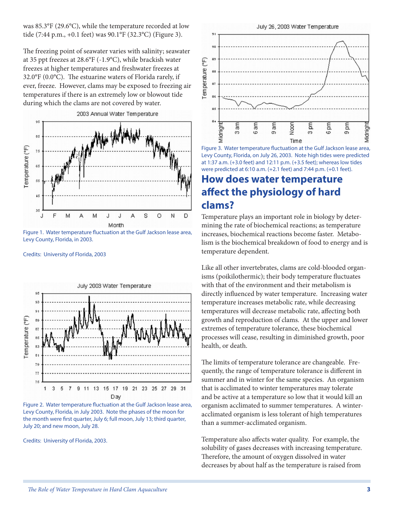was 85.3°F (29.6°C), while the temperature recorded at low tide (7:44 p.m., +0.1 feet) was 90.1°F (32.3°C) (Figure 3).

The freezing point of seawater varies with salinity; seawater at 35 ppt freezes at 28.6°F (-1.9°C), while brackish water freezes at higher temperatures and freshwater freezes at 32.0°F (0.0°C). The estuarine waters of Florida rarely, if ever, freeze. However, clams may be exposed to freezing air temperatures if there is an extremely low or blowout tide during which the clams are not covered by water.



Figure 1. Water temperature fluctuation at the Gulf Jackson lease area, Levy County, Florida, in 2003.

Credits: University of Florida, 2003





Credits: University of Florida, 2003.

July 26, 2003 Water Temperature



Figure 3. Water temperature fluctuation at the Gulf Jackson lease area, Levy County, Florida, on July 26, 2003. Note high tides were predicted at 1:37 a.m. (+3.0 feet) and 12:11 p.m. (+3.5 feet); whereas low tides were predicted at 6:10 a.m. (+2.1 feet) and 7:44 p.m. (+0.1 feet).

### **How does water temperature affect the physiology of hard clams?**

Temperature plays an important role in biology by determining the rate of biochemical reactions; as temperature increases, biochemical reactions become faster. Metabolism is the biochemical breakdown of food to energy and is temperature dependent.

Like all other invertebrates, clams are cold-blooded organisms (poikilothermic); their body temperature fluctuates with that of the environment and their metabolism is directly influenced by water temperature. Increasing water temperature increases metabolic rate, while decreasing temperatures will decrease metabolic rate, affecting both growth and reproduction of clams. At the upper and lower extremes of temperature tolerance, these biochemical processes will cease, resulting in diminished growth, poor health, or death.

The limits of temperature tolerance are changeable. Frequently, the range of temperature tolerance is different in summer and in winter for the same species. An organism that is acclimated to winter temperatures may tolerate and be active at a temperature so low that it would kill an organism acclimated to summer temperatures. A winteracclimated organism is less tolerant of high temperatures than a summer-acclimated organism.

Temperature also affects water quality. For example, the solubility of gases decreases with increasing temperature. Therefore, the amount of oxygen dissolved in water decreases by about half as the temperature is raised from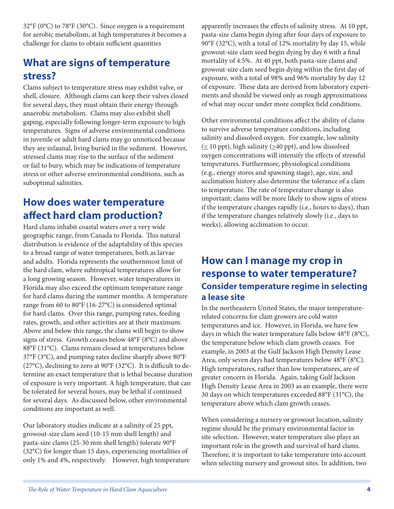32°F (0°C) to 78°F (30°C). Since oxygen is a requirement for aerobic metabolism, at high temperatures it becomes a challenge for clams to obtain sufficient quantities

# **What are signs of temperature stress?**

Clams subject to temperature stress may exhibit valve, or shell, closure. Although clams can keep their valves closed for several days, they must obtain their energy through anaerobic metabolism. Clams may also exhibit shell gaping, especially following longer-term exposure to high temperatures. Signs of adverse environmental conditions in juvenile or adult hard clams may go unnoticed because they are infaunal, living buried in the sediment. However, stressed clams may rise to the surface of the sediment or fail to bury, which may be indications of temperature stress or other adverse environmental conditions, such as suboptimal salinities.

### **How does water temperature affect hard clam production?**

Hard clams inhabit coastal waters over a very wide geographic range, from Canada to Florida. This natural distribution is evidence of the adaptability of this species to a broad range of water temperatures, both as larvae and adults. Florida represents the southernmost limit of the hard clam, where subtropical temperatures allow for a long growing season. However, water temperatures in Florida may also exceed the optimum temperature range for hard clams during the summer months. A temperature range from 60 to 80°F (16-27°C) is considered optimal for hard clams. Over this range, pumping rates, feeding rates, growth, and other activities are at their maximum. Above and below this range, the clams will begin to show signs of stress. Growth ceases below 48°F (8°C) and above 88°F (31°C). Clams remain closed at temperatures below 37°F (3°C), and pumping rates decline sharply above 80°F (27°C), declining to zero at 90°F (32°C). It is difficult to determine an exact temperature that is lethal because duration of exposure is very important. A high temperature, that can be tolerated for several hours, may be lethal if continued for several days. As discussed below, other environmental conditions are important as well.

Our laboratory studies indicate at a salinity of 25 ppt, growout-size clam seed (10-15 mm shell length) and pasta-size clams (25-30 mm shell length) tolerate 90°F (32°C) for longer than 15 days, experiencing mortalities of only 1% and 4%, respectively. However, high temperature apparently increases the effects of salinity stress. At 10 ppt, pasta-size clams begin dying after four days of exposure to 90°F (32°C), with a total of 12% mortality by day 15, while growout-size clam seed begin dying by day 6 with a final mortality of 4.5%. At 40 ppt, both pasta-size clams and growout-size clam seed begin dying within the first day of exposure, with a total of 98% and 96% mortality by day 12 of exposure. These data are derived from laboratory experiments and should be viewed only as rough approximations of what may occur under more complex field conditions.

Other environmental conditions affect the ability of clams to survive adverse temperature conditions, including salinity and dissolved oxygen. For example, low salinity  $(\leq 10$  ppt), high salinity ( $\geq 40$  ppt), and low dissolved oxygen concentrations will intensify the effects of stressful temperatures. Furthermore, physiological conditions (e.g., energy stores and spawning stage), age, size, and acclimation history also determine the tolerance of a clam to temperature. The rate of temperature change is also important; clams will be more likely to show signs of stress if the temperature changes rapidly (i.e., hours to days), than if the temperature changes relatively slowly (i.e., days to weeks), allowing acclimation to occur.

### **How can I manage my crop in response to water temperature? Consider temperature regime in selecting a lease site**

In the northeastern United States, the major temperaturerelated concerns for clam growers are cold water temperatures and ice. However, in Florida, we have few days in which the water temperature falls below 48°F (8°C), the temperature below which clam growth ceases. For example, in 2003 at the Gulf Jackson High Density Lease Area, only seven days had temperatures below 48°F (8°C). High temperatures, rather than low temperatures, are of greater concern in Florida. Again, taking Gulf Jackson High Density Lease Area in 2003 as an example, there were 30 days on which temperatures exceeded 88°F (31°C), the temperature above which clam growth ceases.

When considering a nursery or growout location, salinity regime should be the primary environmental factor in site selection. However, water temperature also plays an important role in the growth and survival of hard clams. Therefore, it is important to take temperature into account when selecting nursery and growout sites. In addition, two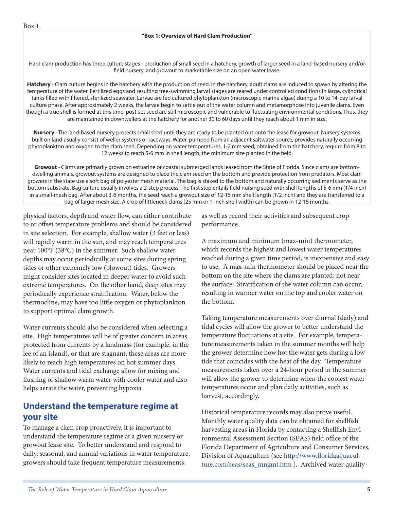Hard clam production has three culture stages - production of small seed in a hatchery, growth of larger seed in a land-based nursery and/or field nursery, and growout to marketable size on an open water lease.

**Hatchery** - Clam culture begins in the hatchery with the production of seed. In the hatchery, adult clams are induced to spawn by altering the temperature of the water. Fertilized eggs and resulting free-swimming larval stages are reared under controlled conditions in large, cylindrical tanks filled with filtered, sterilized seawater. Larvae are fed cultured phytoplankton (microscopic marine algae) during a 10 to 14-day larval culture phase. After approximately 2 weeks, the larvae begin to settle out of the water column and metamorphose into juvenile clams. Even though a true shell is formed at this time, post-set seed are still microscopic and vulnerable to fluctuating environmental conditions. Thus, they are maintained in downwellers at the hatchery for another 30 to 60 days until they reach about 1 mm in size.

**Nursery** - The land-based nursery protects small seed until they are ready to be planted out onto the lease for growout. Nursery systems built on land usually consist of weller systems or raceways. Water, pumped from an adjacent saltwater source, provides naturally occurring phytoplankton and oxygen to the clam seed. Depending on water temperatures, 1-2 mm seed, obtained from the hatchery, require from 8 to 12 weeks to reach 5-6 mm in shell length, the minimum size planted in the field.

**Growout** - Clams are primarily grown on estuarine or coastal submerged lands leased from the State of Florida. Since clams are bottomdwelling animals, growout systems are designed to place the clam seed on the bottom and provide protection from predators. Most clam growers in the state use a soft bag of polyester mesh material. The bag is staked to the bottom and naturally occurring sediments serve as the bottom substrate. Bag culture usually involves a 2-step process. The first step entails field nursing seed with shell lengths of 5-6 mm (1/4 inch) in a small-mesh bag. After about 3-6 months, the seed reach a growout size of 12-15 mm shell length (1/2 inch) and they are transferred to a bag of larger mesh size. A crop of littleneck clams (25 mm or 1-inch shell width) can be grown in 12-18 months.

physical factors, depth and water flow, can either contribute to or offset temperature problems and should be considered in site selection. For example, shallow water (3 feet or less) will rapidly warm in the sun, and may reach temperatures near 100°F (38°C) in the summer. Such shallow water depths may occur periodically at some sites during spring tides or other extremely low (blowout) tides. Growers might consider sites located in deeper water to avoid such extreme temperatures. On the other hand, deep sites may periodically experience stratification. Water, below the thermocline, may have too little oxygen or phytoplankton to support optimal clam growth.

Water currents should also be considered when selecting a site. High temperatures will be of greater concern in areas protected from currents by a landmass (for example, in the lee of an island), or that are stagnant; these areas are more likely to reach high temperatures on hot summer days. Water currents and tidal exchange allow for mixing and flushing of shallow warm water with cooler water and also helps aerate the water, preventing hypoxia.

### **Understand the temperature regime at your site**

To manage a clam crop proactively, it is important to understand the temperature regime at a given nursery or growout lease site. To better understand and respond to daily, seasonal, and annual variations in water temperature, growers should take frequent temperature measurements,

as well as record their activities and subsequent crop performance.

A maximum and minimum (max-min) thermometer, which records the highest and lowest water temperatures reached during a given time period, is inexpensive and easy to use. A max-min thermometer should be placed near the bottom on the site where the clams are planted, not near the surface. Stratification of the water column can occur, resulting in warmer water on the top and cooler water on the bottom.

Taking temperature measurements over diurnal (daily) and tidal cycles will allow the grower to better understand the temperature fluctuations at a site. For example, temperature measurements taken in the summer months will help the grower determine how hot the water gets during a low tide that coincides with the heat of the day. Temperature measurements taken over a 24-hour period in the summer will allow the grower to determine when the coolest water temperatures occur and plan daily activities, such as harvest, accordingly.

Historical temperature records may also prove useful. Monthly water quality data can be obtained for shellfish harvesting areas in Florida by contacting a Shellfish Environmental Assessment Section (SEAS) field office of the Florida Department of Agriculture and Consumer Services, Division of Aquaculture (see http://www.floridaaquaculture.com/seas/seas\_mngmt.htm ). Archived water quality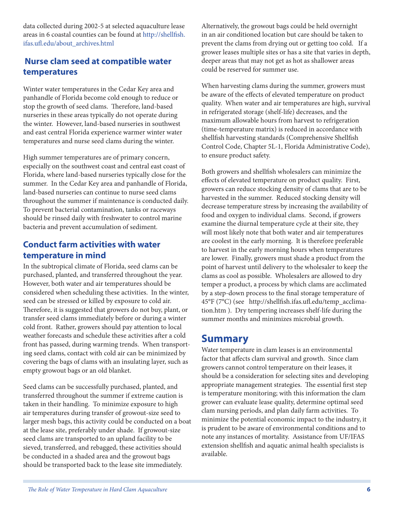data collected during 2002-5 at selected aquaculture lease areas in 6 coastal counties can be found at http://shellfish. ifas.ufl.edu/about\_archives.html

#### **Nurse clam seed at compatible water temperatures**

Winter water temperatures in the Cedar Key area and panhandle of Florida become cold enough to reduce or stop the growth of seed clams. Therefore, land-based nurseries in these areas typically do not operate during the winter. However, land-based nurseries in southwest and east central Florida experience warmer winter water temperatures and nurse seed clams during the winter.

High summer temperatures are of primary concern, especially on the southwest coast and central east coast of Florida, where land-based nurseries typically close for the summer. In the Cedar Key area and panhandle of Florida, land-based nurseries can continue to nurse seed clams throughout the summer if maintenance is conducted daily. To prevent bacterial contamination, tanks or raceways should be rinsed daily with freshwater to control marine bacteria and prevent accumulation of sediment.

#### **Conduct farm activities with water temperature in mind**

In the subtropical climate of Florida, seed clams can be purchased, planted, and transferred throughout the year. However, both water and air temperatures should be considered when scheduling these activities. In the winter, seed can be stressed or killed by exposure to cold air. Therefore, it is suggested that growers do not buy, plant, or transfer seed clams immediately before or during a winter cold front. Rather, growers should pay attention to local weather forecasts and schedule these activities after a cold front has passed, during warming trends. When transporting seed clams, contact with cold air can be minimized by covering the bags of clams with an insulating layer, such as empty growout bags or an old blanket.

Seed clams can be successfully purchased, planted, and transferred throughout the summer if extreme caution is taken in their handling. To minimize exposure to high air temperatures during transfer of growout-size seed to larger mesh bags, this activity could be conducted on a boat at the lease site, preferably under shade. If growout-size seed clams are transported to an upland facility to be sieved, transferred, and rebagged, these activities should be conducted in a shaded area and the growout bags should be transported back to the lease site immediately.

Alternatively, the growout bags could be held overnight in an air conditioned location but care should be taken to prevent the clams from drying out or getting too cold. If a grower leases multiple sites or has a site that varies in depth, deeper areas that may not get as hot as shallower areas could be reserved for summer use.

When harvesting clams during the summer, growers must be aware of the effects of elevated temperature on product quality. When water and air temperatures are high, survival in refrigerated storage (shelf-life) decreases, and the maximum allowable hours from harvest to refrigeration (time-temperature matrix) is reduced in accordance with shellfish harvesting standards (Comprehensive Shellfish Control Code, Chapter 5L-1, Florida Administrative Code), to ensure product safety.

Both growers and shellfish wholesalers can minimize the effects of elevated temperature on product quality. First, growers can reduce stocking density of clams that are to be harvested in the summer. Reduced stocking density will decrease temperature stress by increasing the availability of food and oxygen to individual clams. Second, if growers examine the diurnal temperature cycle at their site, they will most likely note that both water and air temperatures are coolest in the early morning. It is therefore preferable to harvest in the early morning hours when temperatures are lower. Finally, growers must shade a product from the point of harvest until delivery to the wholesaler to keep the clams as cool as possible. Wholesalers are allowed to dry temper a product, a process by which clams are acclimated by a step-down process to the final storage temperature of 45°F (7°C) (see http://shellfish.ifas.ufl.edu/temp\_acclimation.htm ). Dry tempering increases shelf-life during the summer months and minimizes microbial growth.

### **Summary**

Water temperature in clam leases is an environmental factor that affects clam survival and growth. Since clam growers cannot control temperature on their leases, it should be a consideration for selecting sites and developing appropriate management strategies. The essential first step is temperature monitoring; with this information the clam grower can evaluate lease quality, determine optimal seed clam nursing periods, and plan daily farm activities. To minimize the potential economic impact to the industry, it is prudent to be aware of environmental conditions and to note any instances of mortality. Assistance from UF/IFAS extension shellfish and aquatic animal health specialists is available.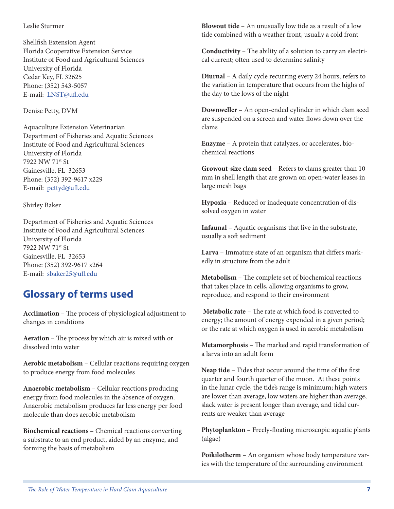#### Leslie Sturmer

Shellfish Extension Agent Florida Cooperative Extension Service Institute of Food and Agricultural Sciences University of Florida Cedar Key, FL 32625 Phone: (352) 543-5057 E-mail: LNST@ufl.edu

Denise Petty, DVM

Aquaculture Extension Veterinarian Department of Fisheries and Aquatic Sciences Institute of Food and Agricultural Sciences University of Florida 7922 NW 71st St Gainesville, FL 32653 Phone: (352) 392-9617 x229 E-mail: pettyd@ufl.edu

#### Shirley Baker

Department of Fisheries and Aquatic Sciences Institute of Food and Agricultural Sciences University of Florida 7922 NW 71st St Gainesville, FL 32653 Phone: (352) 392-9617 x264 E-mail: sbaker25@ufl.edu

### **Glossary of terms used**

**Acclimation** – The process of physiological adjustment to changes in conditions

**Aeration** – The process by which air is mixed with or dissolved into water

**Aerobic metabolism** – Cellular reactions requiring oxygen to produce energy from food molecules

**Anaerobic metabolism** – Cellular reactions producing energy from food molecules in the absence of oxygen. Anaerobic metabolism produces far less energy per food molecule than does aerobic metabolism

**Biochemical reactions** – Chemical reactions converting a substrate to an end product, aided by an enzyme, and forming the basis of metabolism

**Blowout tide** – An unusually low tide as a result of a low tide combined with a weather front, usually a cold front

**Conductivity** – The ability of a solution to carry an electrical current; often used to determine salinity

**Diurnal** – A daily cycle recurring every 24 hours; refers to the variation in temperature that occurs from the highs of the day to the lows of the night

**Downweller** – An open-ended cylinder in which clam seed are suspended on a screen and water flows down over the clams

**Enzyme** – A protein that catalyzes, or accelerates, biochemical reactions

**Growout-size clam seed** – Refers to clams greater than 10 mm in shell length that are grown on open-water leases in large mesh bags

**Hypoxia** – Reduced or inadequate concentration of dissolved oxygen in water

**Infaunal** – Aquatic organisms that live in the substrate, usually a soft sediment

**Larva** – Immature state of an organism that differs markedly in structure from the adult

**Metabolism** – The complete set of biochemical reactions that takes place in cells, allowing organisms to grow, reproduce, and respond to their environment

**Metabolic rate** – The rate at which food is converted to energy; the amount of energy expended in a given period; or the rate at which oxygen is used in aerobic metabolism

**Metamorphosis** – The marked and rapid transformation of a larva into an adult form

**Neap tide** – Tides that occur around the time of the first quarter and fourth quarter of the moon. At these points in the lunar cycle, the tide's range is minimum; high waters are lower than average, low waters are higher than average, slack water is present longer than average, and tidal currents are weaker than average

**Phytoplankton** – Freely-floating microscopic aquatic plants (algae)

**Poikilotherm** – An organism whose body temperature varies with the temperature of the surrounding environment